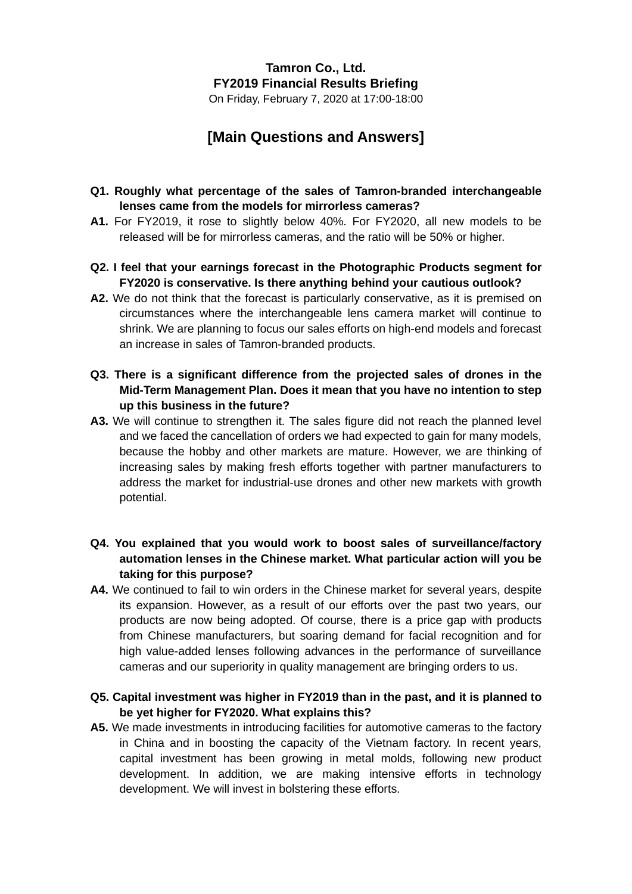# **Tamron Co., Ltd. FY2019 Financial Results Briefing**

On Friday, February 7, 2020 at 17:00-18:00

## **[Main Questions and Answers]**

### **Q1. Roughly what percentage of the sales of Tamron-branded interchangeable lenses came from the models for mirrorless cameras?**

- **A1.** For FY2019, it rose to slightly below 40%. For FY2020, all new models to be released will be for mirrorless cameras, and the ratio will be 50% or higher.
- **Q2. I feel that your earnings forecast in the Photographic Products segment for FY2020 is conservative. Is there anything behind your cautious outlook?**
- **A2.** We do not think that the forecast is particularly conservative, as it is premised on circumstances where the interchangeable lens camera market will continue to shrink. We are planning to focus our sales efforts on high-end models and forecast an increase in sales of Tamron-branded products.
- **Q3. There is a significant difference from the projected sales of drones in the Mid-Term Management Plan. Does it mean that you have no intention to step up this business in the future?**
- **A3.** We will continue to strengthen it. The sales figure did not reach the planned level and we faced the cancellation of orders we had expected to gain for many models, because the hobby and other markets are mature. However, we are thinking of increasing sales by making fresh efforts together with partner manufacturers to address the market for industrial-use drones and other new markets with growth potential.
- **Q4. You explained that you would work to boost sales of surveillance/factory automation lenses in the Chinese market. What particular action will you be taking for this purpose?**
- **A4.** We continued to fail to win orders in the Chinese market for several years, despite its expansion. However, as a result of our efforts over the past two years, our products are now being adopted. Of course, there is a price gap with products from Chinese manufacturers, but soaring demand for facial recognition and for high value-added lenses following advances in the performance of surveillance cameras and our superiority in quality management are bringing orders to us.

### **Q5. Capital investment was higher in FY2019 than in the past, and it is planned to be yet higher for FY2020. What explains this?**

**A5.** We made investments in introducing facilities for automotive cameras to the factory in China and in boosting the capacity of the Vietnam factory. In recent years, capital investment has been growing in metal molds, following new product development. In addition, we are making intensive efforts in technology development. We will invest in bolstering these efforts.